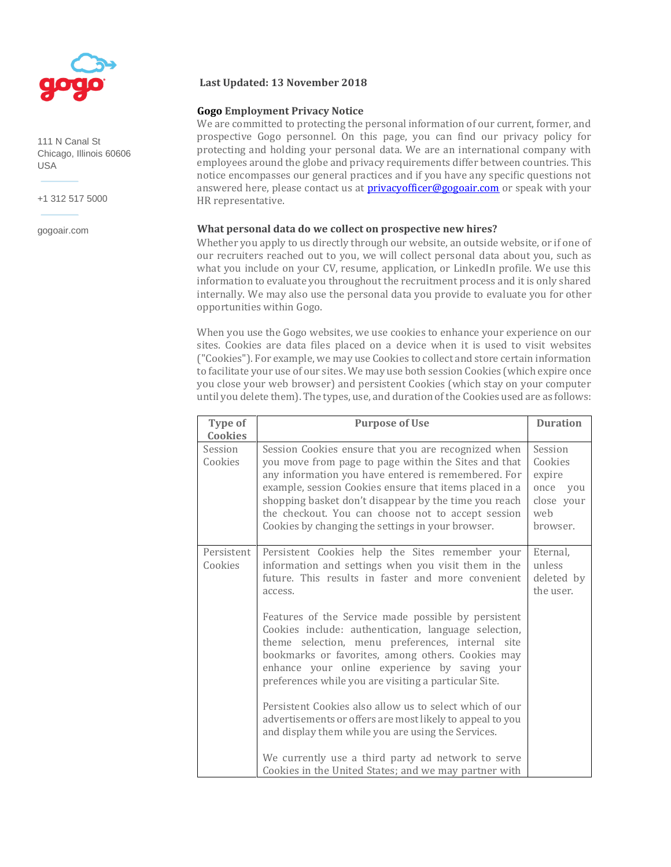

111 N Canal St Chicago, Illinois 60606 USA

+1 312 517 5000

gogoair.com

## **Last Updated: 13 November 2018**

# **Gogo Employment Privacy Notice**

We are committed to protecting the personal information of our current, former, and prospective Gogo personnel. On this page, you can find our privacy policy for protecting and holding your personal data. We are an international company with employees around the globe and privacy requirements differ between countries. This notice encompasses our general practices and if you have any specific questions not answered here, please contact us at **privacyofficer@gogoair.com** or speak with your HR representative.

## **What personal data do we collect on prospective new hires?**

Whether you apply to us directly through our website, an outside website, or if one of our recruiters reached out to you, we will collect personal data about you, such as what you include on your CV, resume, application, or LinkedIn profile. We use this information to evaluate you throughout the recruitment process and it is only shared internally. We may also use the personal data you provide to evaluate you for other opportunities within Gogo.

When you use the Gogo websites, we use cookies to enhance your experience on our sites. Cookies are data files placed on a device when it is used to visit websites ("Cookies"). For example, we may use Cookies to collect and store certain information to facilitate your use of our sites. We may use both session Cookies (which expire once you close your web browser) and persistent Cookies (which stay on your computer until you delete them). The types, use, and duration of the Cookies used are as follows:

| Type of<br><b>Cookies</b> | <b>Purpose of Use</b>                                                                                                                                                                                                                                                                                                                                                                                                                                                                                                                                                                                                                                                                                                                                                                                  | <b>Duration</b>                                                           |
|---------------------------|--------------------------------------------------------------------------------------------------------------------------------------------------------------------------------------------------------------------------------------------------------------------------------------------------------------------------------------------------------------------------------------------------------------------------------------------------------------------------------------------------------------------------------------------------------------------------------------------------------------------------------------------------------------------------------------------------------------------------------------------------------------------------------------------------------|---------------------------------------------------------------------------|
| Session<br>Cookies        | Session Cookies ensure that you are recognized when<br>you move from page to page within the Sites and that<br>any information you have entered is remembered. For<br>example, session Cookies ensure that items placed in a<br>shopping basket don't disappear by the time you reach<br>the checkout. You can choose not to accept session<br>Cookies by changing the settings in your browser.                                                                                                                                                                                                                                                                                                                                                                                                       | Session<br>Cookies<br>expire<br>once you<br>close your<br>web<br>browser. |
| Persistent<br>Cookies     | Persistent Cookies help the Sites remember your<br>information and settings when you visit them in the<br>future. This results in faster and more convenient<br>access.<br>Features of the Service made possible by persistent<br>Cookies include: authentication, language selection,<br>theme selection, menu preferences, internal site<br>bookmarks or favorites, among others. Cookies may<br>enhance your online experience by saving your<br>preferences while you are visiting a particular Site.<br>Persistent Cookies also allow us to select which of our<br>advertisements or offers are most likely to appeal to you<br>and display them while you are using the Services.<br>We currently use a third party ad network to serve<br>Cookies in the United States; and we may partner with | Eternal,<br>unless<br>deleted by<br>the user.                             |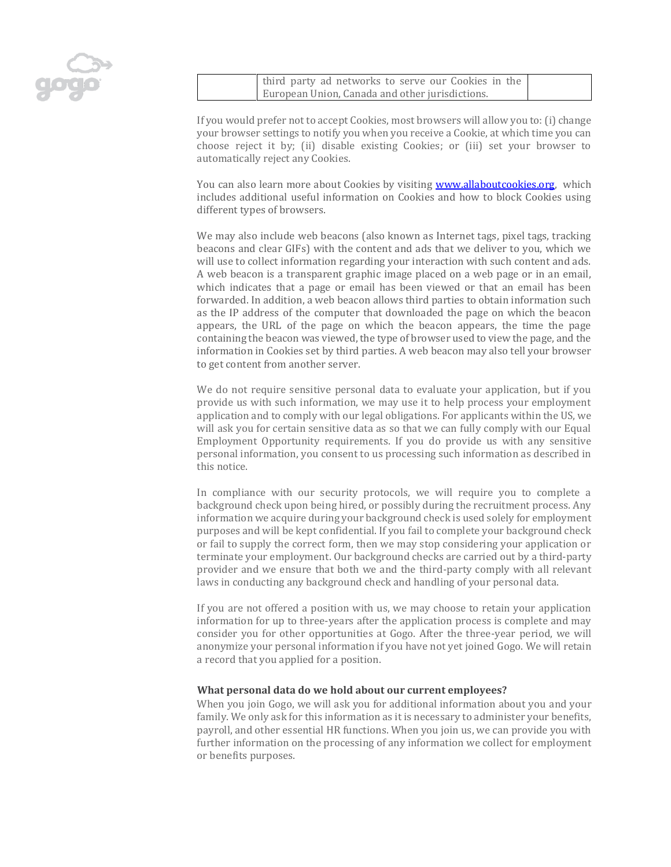

third party ad networks to serve our Cookies in the European Union, Canada and other jurisdictions.

If you would prefer not to accept Cookies, most browsers will allow you to: (i) change your browser settings to notify you when you receive a Cookie, at which time you can choose reject it by; (ii) disable existing Cookies; or (iii) set your browser to automatically reject any Cookies.

You can also learn more about Cookies by visiting [www.allaboutcookies.org,](http://www.allaboutcookies.org/) which includes additional useful information on Cookies and how to block Cookies using different types of browsers.

We may also include web beacons (also known as Internet tags, pixel tags, tracking beacons and clear GIFs) with the content and ads that we deliver to you, which we will use to collect information regarding your interaction with such content and ads. A web beacon is a transparent graphic image placed on a web page or in an email, which indicates that a page or email has been viewed or that an email has been forwarded. In addition, a web beacon allows third parties to obtain information such as the IP address of the computer that downloaded the page on which the beacon appears, the URL of the page on which the beacon appears, the time the page containing the beacon was viewed, the type of browser used to view the page, and the information in Cookies set by third parties. A web beacon may also tell your browser to get content from another server.

We do not require sensitive personal data to evaluate your application, but if you provide us with such information, we may use it to help process your employment application and to comply with our legal obligations. For applicants within the US, we will ask you for certain sensitive data as so that we can fully comply with our Equal Employment Opportunity requirements. If you do provide us with any sensitive personal information, you consent to us processing such information as described in this notice.

In compliance with our security protocols, we will require you to complete a background check upon being hired, or possibly during the recruitment process. Any information we acquire during your background check is used solely for employment purposes and will be kept confidential. If you fail to complete your background check or fail to supply the correct form, then we may stop considering your application or terminate your employment. Our background checks are carried out by a third-party provider and we ensure that both we and the third-party comply with all relevant laws in conducting any background check and handling of your personal data.

If you are not offered a position with us, we may choose to retain your application information for up to three-years after the application process is complete and may consider you for other opportunities at Gogo. After the three-year period, we will anonymize your personal information if you have not yet joined Gogo. We will retain a record that you applied for a position.

#### **What personal data do we hold about our current employees?**

When you join Gogo, we will ask you for additional information about you and your family. We only ask for this information as it is necessary to administer your benefits, payroll, and other essential HR functions. When you join us, we can provide you with further information on the processing of any information we collect for employment or benefits purposes.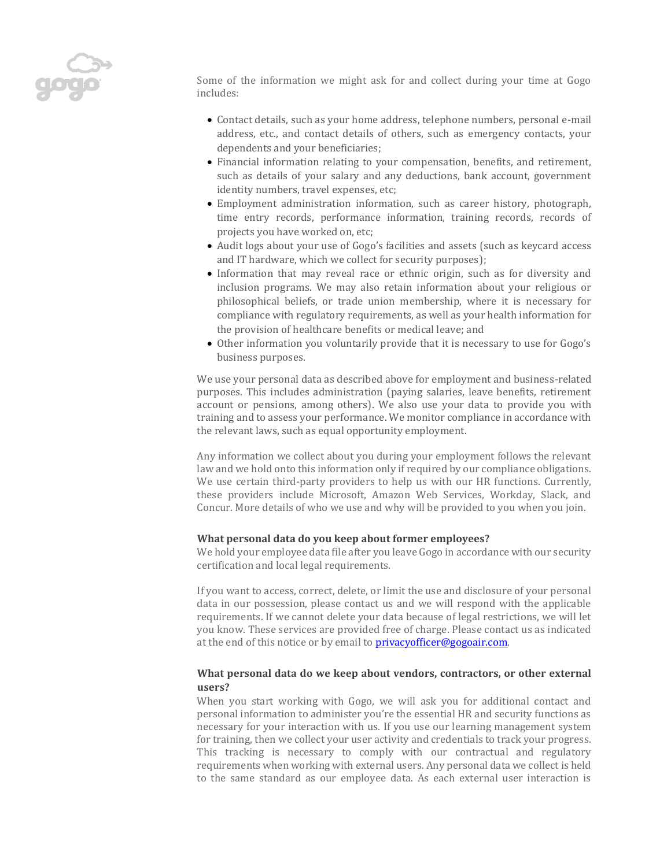

Some of the information we might ask for and collect during your time at Gogo includes:

- Contact details, such as your home address, telephone numbers, personal e-mail address, etc., and contact details of others, such as emergency contacts, your dependents and your beneficiaries;
- Financial information relating to your compensation, benefits, and retirement, such as details of your salary and any deductions, bank account, government identity numbers, travel expenses, etc;
- Employment administration information, such as career history, photograph, time entry records, performance information, training records, records of projects you have worked on, etc;
- Audit logs about your use of Gogo's facilities and assets (such as keycard access and IT hardware, which we collect for security purposes);
- Information that may reveal race or ethnic origin, such as for diversity and inclusion programs. We may also retain information about your religious or philosophical beliefs, or trade union membership, where it is necessary for compliance with regulatory requirements, as well as your health information for the provision of healthcare benefits or medical leave; and
- Other information you voluntarily provide that it is necessary to use for Gogo's business purposes.

We use your personal data as described above for employment and business-related purposes. This includes administration (paying salaries, leave benefits, retirement account or pensions, among others). We also use your data to provide you with training and to assess your performance. We monitor compliance in accordance with the relevant laws, such as equal opportunity employment.

Any information we collect about you during your employment follows the relevant law and we hold onto this information only if required by our compliance obligations. We use certain third-party providers to help us with our HR functions. Currently, these providers include Microsoft, Amazon Web Services, Workday, Slack, and Concur. More details of who we use and why will be provided to you when you join.

# **What personal data do you keep about former employees?**

We hold your employee data file after you leave Gogo in accordance with our security certification and local legal requirements.

If you want to access, correct, delete, or limit the use and disclosure of your personal data in our possession, please contact us and we will respond with the applicable requirements. If we cannot delete your data because of legal restrictions, we will let you know. These services are provided free of charge. Please contact us as indicated at the end of this notice or by email to **privacyofficer@gogoair.com**.

## **What personal data do we keep about vendors, contractors, or other external users?**

When you start working with Gogo, we will ask you for additional contact and personal information to administer you're the essential HR and security functions as necessary for your interaction with us. If you use our learning management system for training, then we collect your user activity and credentials to track your progress. This tracking is necessary to comply with our contractual and regulatory requirements when working with external users. Any personal data we collect is held to the same standard as our employee data. As each external user interaction is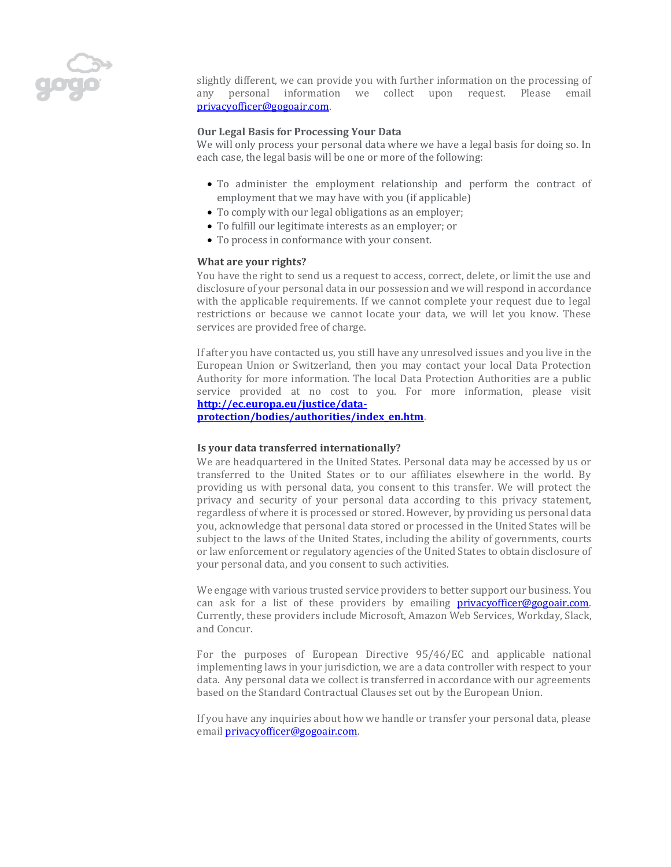

slightly different, we can provide you with further information on the processing of any personal information we collect upon request. Please email [privacyofficer@gogoair.com.](mailto:privacyofficer@gogoair.com) 

## **Our Legal Basis for Processing Your Data**

We will only process your personal data where we have a legal basis for doing so. In each case, the legal basis will be one or more of the following:

- To administer the employment relationship and perform the contract of employment that we may have with you (if applicable)
- To comply with our legal obligations as an employer;
- To fulfill our legitimate interests as an employer; or
- To process in conformance with your consent.

#### **What are your rights?**

You have the right to send us a request to access, correct, delete, or limit the use and disclosure of your personal data in our possession and we will respond in accordance with the applicable requirements. If we cannot complete your request due to legal restrictions or because we cannot locate your data, we will let you know. These services are provided free of charge.

If after you have contacted us, you still have any unresolved issues and you live in the European Union or Switzerland, then you may contact your local Data Protection Authority for more information. The local Data Protection Authorities are a public service provided at no cost to you. For more information, please visit **[http://ec.europa.eu/justice/data-](http://ec.europa.eu/justice/data-protection/bodies/authorities/index_en.htm)**

**[protection/bodies/authorities/index\\_en.htm.](http://ec.europa.eu/justice/data-protection/bodies/authorities/index_en.htm)**

#### **Is your data transferred internationally?**

We are headquartered in the United States. Personal data may be accessed by us or transferred to the United States or to our affiliates elsewhere in the world. By providing us with personal data, you consent to this transfer. We will protect the privacy and security of your personal data according to this privacy statement, regardless of where it is processed or stored. However, by providing us personal data you, acknowledge that personal data stored or processed in the United States will be subject to the laws of the United States, including the ability of governments, courts or law enforcement or regulatory agencies of the United States to obtain disclosure of your personal data, and you consent to such activities.

We engage with various trusted service providers to better support our business. You can ask for a list of these providers by emailing  $\text{privacvofficer@gogoair.com}$ . Currently, these providers include Microsoft, Amazon Web Services, Workday, Slack, and Concur.

For the purposes of European Directive 95/46/EC and applicable national implementing laws in your jurisdiction, we are a data controller with respect to your data. Any personal data we collect is transferred in accordance with our agreements based on the Standard Contractual Clauses set out by the European Union.

If you have any inquiries about how we handle or transfer your personal data, please email [privacyofficer@gogoair.com.](mailto:privacyofficer@gogoair.com)